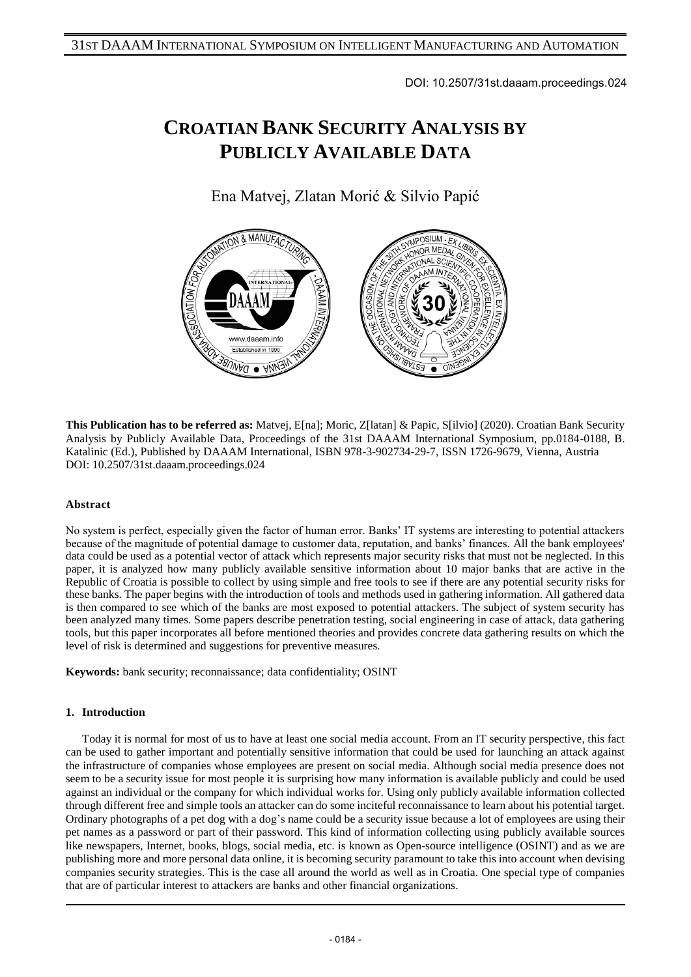DOI: 10.2507/31st.daaam.proceedings.024

# **CROATIAN BANK SECURITY ANALYSIS BY PUBLICLY AVAILABLE DATA**

Ena Matvej, Zlatan Morić & Silvio Papić



**This Publication has to be referred as:** Matvej, E[na]; Moric, Z[latan] & Papic, S[ilvio] (2020). Croatian Bank Security Analysis by Publicly Available Data, Proceedings of the 31st DAAAM International Symposium, pp.0184-0188, B. Katalinic (Ed.), Published by DAAAM International, ISBN 978-3-902734-29-7, ISSN 1726-9679, Vienna, Austria DOI: 10.2507/31st.daaam.proceedings.024

# **Abstract**

No system is perfect, especially given the factor of human error. Banks' IT systems are interesting to potential attackers because of the magnitude of potential damage to customer data, reputation, and banks' finances. All the bank employees' data could be used as a potential vector of attack which represents major security risks that must not be neglected. In this paper, it is analyzed how many publicly available sensitive information about 10 major banks that are active in the Republic of Croatia is possible to collect by using simple and free tools to see if there are any potential security risks for these banks. The paper begins with the introduction of tools and methods used in gathering information. All gathered data is then compared to see which of the banks are most exposed to potential attackers. The subject of system security has been analyzed many times. Some papers describe penetration testing, social engineering in case of attack, data gathering tools, but this paper incorporates all before mentioned theories and provides concrete data gathering results on which the level of risk is determined and suggestions for preventive measures.

**Keywords:** bank security; reconnaissance; data confidentiality; OSINT

### **1. Introduction**

Today it is normal for most of us to have at least one social media account. From an IT security perspective, this fact can be used to gather important and potentially sensitive information that could be used for launching an attack against the infrastructure of companies whose employees are present on social media. Although social media presence does not seem to be a security issue for most people it is surprising how many information is available publicly and could be used against an individual or the company for which individual works for. Using only publicly available information collected through different free and simple tools an attacker can do some inciteful reconnaissance to learn about his potential target. Ordinary photographs of a pet dog with a dog's name could be a security issue because a lot of employees are using their pet names as a password or part of their password. This kind of information collecting using publicly available sources like newspapers, Internet, books, blogs, social media, etc. is known as Open-source intelligence (OSINT) and as we are publishing more and more personal data online, it is becoming security paramount to take this into account when devising companies security strategies. This is the case all around the world as well as in Croatia. One special type of companies that are of particular interest to attackers are banks and other financial organizations.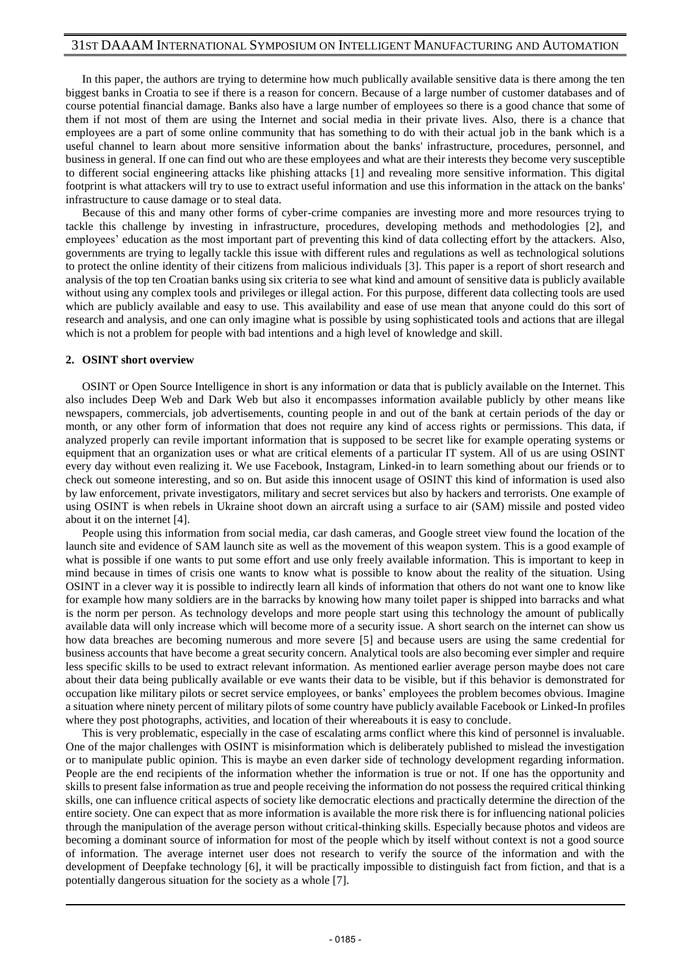In this paper, the authors are trying to determine how much publically available sensitive data is there among the ten biggest banks in Croatia to see if there is a reason for concern. Because of a large number of customer databases and of course potential financial damage. Banks also have a large number of employees so there is a good chance that some of them if not most of them are using the Internet and social media in their private lives. Also, there is a chance that employees are a part of some online community that has something to do with their actual job in the bank which is a useful channel to learn about more sensitive information about the banks' infrastructure, procedures, personnel, and business in general. If one can find out who are these employees and what are their interests they become very susceptible to different social engineering attacks like phishing attacks [1] and revealing more sensitive information. This digital footprint is what attackers will try to use to extract useful information and use this information in the attack on the banks' infrastructure to cause damage or to steal data.

Because of this and many other forms of cyber-crime companies are investing more and more resources trying to tackle this challenge by investing in infrastructure, procedures, developing methods and methodologies [2], and employees' education as the most important part of preventing this kind of data collecting effort by the attackers. Also, governments are trying to legally tackle this issue with different rules and regulations as well as technological solutions to protect the online identity of their citizens from malicious individuals [3]. This paper is a report of short research and analysis of the top ten Croatian banks using six criteria to see what kind and amount of sensitive data is publicly available without using any complex tools and privileges or illegal action. For this purpose, different data collecting tools are used which are publicly available and easy to use. This availability and ease of use mean that anyone could do this sort of research and analysis, and one can only imagine what is possible by using sophisticated tools and actions that are illegal which is not a problem for people with bad intentions and a high level of knowledge and skill.

#### **2. OSINT short overview**

OSINT or Open Source Intelligence in short is any information or data that is publicly available on the Internet. This also includes Deep Web and Dark Web but also it encompasses information available publicly by other means like newspapers, commercials, job advertisements, counting people in and out of the bank at certain periods of the day or month, or any other form of information that does not require any kind of access rights or permissions. This data, if analyzed properly can revile important information that is supposed to be secret like for example operating systems or equipment that an organization uses or what are critical elements of a particular IT system. All of us are using OSINT every day without even realizing it. We use Facebook, Instagram, Linked-in to learn something about our friends or to check out someone interesting, and so on. But aside this innocent usage of OSINT this kind of information is used also by law enforcement, private investigators, military and secret services but also by hackers and terrorists. One example of using OSINT is when rebels in Ukraine shoot down an aircraft using a surface to air (SAM) missile and posted video about it on the internet [4].

People using this information from social media, car dash cameras, and Google street view found the location of the launch site and evidence of SAM launch site as well as the movement of this weapon system. This is a good example of what is possible if one wants to put some effort and use only freely available information. This is important to keep in mind because in times of crisis one wants to know what is possible to know about the reality of the situation. Using OSINT in a clever way it is possible to indirectly learn all kinds of information that others do not want one to know like for example how many soldiers are in the barracks by knowing how many toilet paper is shipped into barracks and what is the norm per person. As technology develops and more people start using this technology the amount of publically available data will only increase which will become more of a security issue. A short search on the internet can show us how data breaches are becoming numerous and more severe [5] and because users are using the same credential for business accounts that have become a great security concern. Analytical tools are also becoming ever simpler and require less specific skills to be used to extract relevant information. As mentioned earlier average person maybe does not care about their data being publically available or eve wants their data to be visible, but if this behavior is demonstrated for occupation like military pilots or secret service employees, or banks' employees the problem becomes obvious. Imagine a situation where ninety percent of military pilots of some country have publicly available Facebook or Linked-In profiles where they post photographs, activities, and location of their whereabouts it is easy to conclude.

This is very problematic, especially in the case of escalating arms conflict where this kind of personnel is invaluable. One of the major challenges with OSINT is misinformation which is deliberately published to mislead the investigation or to manipulate public opinion. This is maybe an even darker side of technology development regarding information. People are the end recipients of the information whether the information is true or not. If one has the opportunity and skills to present false information as true and people receiving the information do not possess the required critical thinking skills, one can influence critical aspects of society like democratic elections and practically determine the direction of the entire society. One can expect that as more information is available the more risk there is for influencing national policies through the manipulation of the average person without critical-thinking skills. Especially because photos and videos are becoming a dominant source of information for most of the people which by itself without context is not a good source of information. The average internet user does not research to verify the source of the information and with the development of Deepfake technology [6], it will be practically impossible to distinguish fact from fiction, and that is a potentially dangerous situation for the society as a whole [7].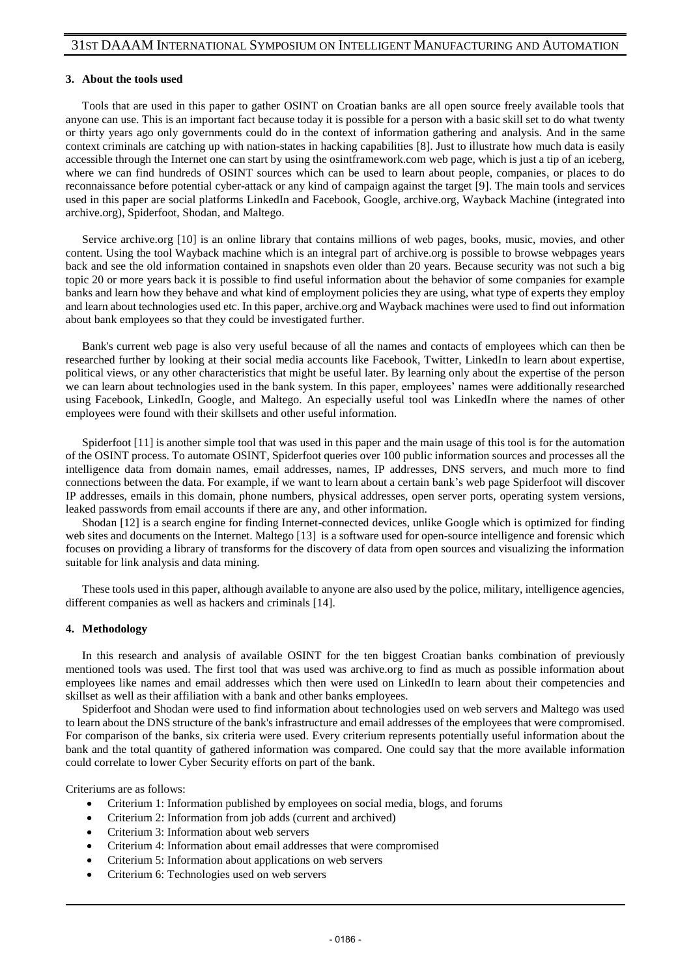#### **3. About the tools used**

Tools that are used in this paper to gather OSINT on Croatian banks are all open source freely available tools that anyone can use. This is an important fact because today it is possible for a person with a basic skill set to do what twenty or thirty years ago only governments could do in the context of information gathering and analysis. And in the same context criminals are catching up with nation-states in hacking capabilities [8]. Just to illustrate how much data is easily accessible through the Internet one can start by using the osintframework.com web page, which is just a tip of an iceberg, where we can find hundreds of OSINT sources which can be used to learn about people, companies, or places to do reconnaissance before potential cyber-attack or any kind of campaign against the target [9]. The main tools and services used in this paper are social platforms LinkedIn and Facebook, Google, archive.org, Wayback Machine (integrated into archive.org), Spiderfoot, Shodan, and Maltego.

Service archive.org [10] is an online library that contains millions of web pages, books, music, movies, and other content. Using the tool Wayback machine which is an integral part of archive.org is possible to browse webpages years back and see the old information contained in snapshots even older than 20 years. Because security was not such a big topic 20 or more years back it is possible to find useful information about the behavior of some companies for example banks and learn how they behave and what kind of employment policies they are using, what type of experts they employ and learn about technologies used etc. In this paper, archive.org and Wayback machines were used to find out information about bank employees so that they could be investigated further.

Bank's current web page is also very useful because of all the names and contacts of employees which can then be researched further by looking at their social media accounts like Facebook, Twitter, LinkedIn to learn about expertise, political views, or any other characteristics that might be useful later. By learning only about the expertise of the person we can learn about technologies used in the bank system. In this paper, employees' names were additionally researched using Facebook, LinkedIn, Google, and Maltego. An especially useful tool was LinkedIn where the names of other employees were found with their skillsets and other useful information.

Spiderfoot [11] is another simple tool that was used in this paper and the main usage of this tool is for the automation of the OSINT process. To automate OSINT, Spiderfoot queries over 100 public information sources and processes all the intelligence data from domain names, email addresses, names, IP addresses, DNS servers, and much more to find connections between the data. For example, if we want to learn about a certain bank's web page Spiderfoot will discover IP addresses, emails in this domain, phone numbers, physical addresses, open server ports, operating system versions, leaked passwords from email accounts if there are any, and other information.

Shodan [12] is a search engine for finding Internet-connected devices, unlike Google which is optimized for finding web sites and documents on the Internet. Maltego [13] is a software used for open-source intelligence and forensic which focuses on providing a library of transforms for the discovery of data from open sources and visualizing the information suitable for link analysis and data mining.

These tools used in this paper, although available to anyone are also used by the police, military, intelligence agencies, different companies as well as hackers and criminals [14].

#### **4. Methodology**

In this research and analysis of available OSINT for the ten biggest Croatian banks combination of previously mentioned tools was used. The first tool that was used was archive.org to find as much as possible information about employees like names and email addresses which then were used on LinkedIn to learn about their competencies and skillset as well as their affiliation with a bank and other banks employees.

Spiderfoot and Shodan were used to find information about technologies used on web servers and Maltego was used to learn about the DNS structure of the bank's infrastructure and email addresses of the employees that were compromised. For comparison of the banks, six criteria were used. Every criterium represents potentially useful information about the bank and the total quantity of gathered information was compared. One could say that the more available information could correlate to lower Cyber Security efforts on part of the bank.

Criteriums are as follows:

- Criterium 1: Information published by employees on social media, blogs, and forums
- Criterium 2: Information from job adds (current and archived)
- Criterium 3: Information about web servers
- Criterium 4: Information about email addresses that were compromised
- Criterium 5: Information about applications on web servers
- Criterium 6: Technologies used on web servers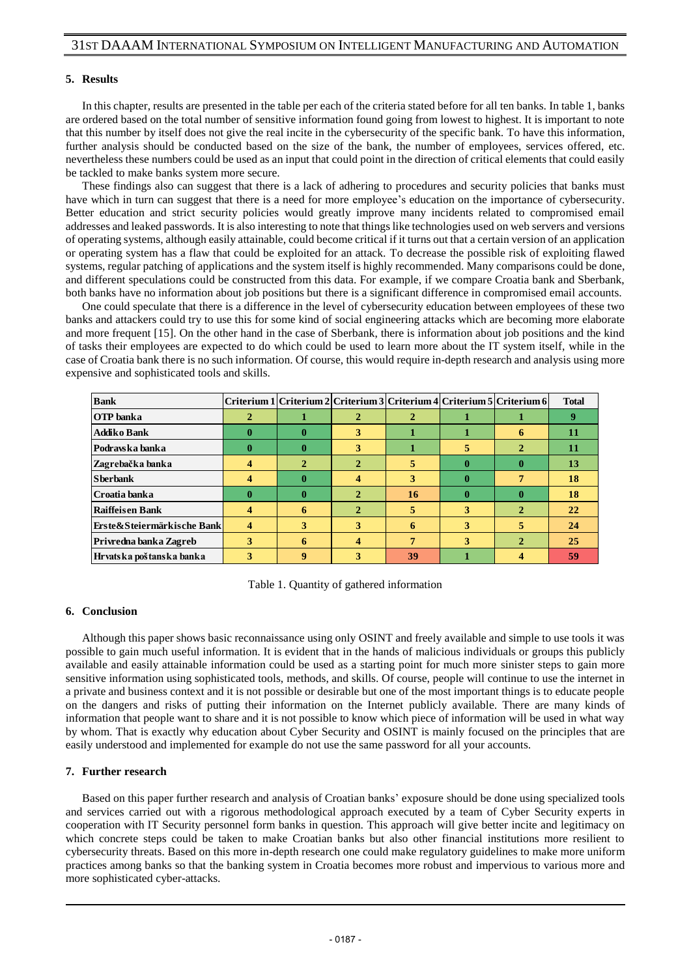## **5. Results**

In this chapter, results are presented in the table per each of the criteria stated before for all ten banks. In table 1, banks are ordered based on the total number of sensitive information found going from lowest to highest. It is important to note that this number by itself does not give the real incite in the cybersecurity of the specific bank. To have this information, further analysis should be conducted based on the size of the bank, the number of employees, services offered, etc. nevertheless these numbers could be used as an input that could point in the direction of critical elements that could easily be tackled to make banks system more secure.

These findings also can suggest that there is a lack of adhering to procedures and security policies that banks must have which in turn can suggest that there is a need for more employee's education on the importance of cybersecurity. Better education and strict security policies would greatly improve many incidents related to compromised email addresses and leaked passwords. It is also interesting to note that things like technologies used on web servers and versions of operating systems, although easily attainable, could become critical if it turns out that a certain version of an application or operating system has a flaw that could be exploited for an attack. To decrease the possible risk of exploiting flawed systems, regular patching of applications and the system itself is highly recommended. Many comparisons could be done, and different speculations could be constructed from this data. For example, if we compare Croatia bank and Sberbank, both banks have no information about job positions but there is a significant difference in compromised email accounts.

One could speculate that there is a difference in the level of cybersecurity education between employees of these two banks and attackers could try to use this for some kind of social engineering attacks which are becoming more elaborate and more frequent [15]. On the other hand in the case of Sberbank, there is information about job positions and the kind of tasks their employees are expected to do which could be used to learn more about the IT system itself, while in the case of Croatia bank there is no such information. Of course, this would require in-depth research and analysis using more expensive and sophisticated tools and skills.

| <b>Bank</b>                |   |   |              |           |          | Criterium 1   Criterium 2   Criterium 3   Criterium 4   Criterium 5   Criterium 6 | <b>Total</b> |
|----------------------------|---|---|--------------|-----------|----------|-----------------------------------------------------------------------------------|--------------|
| <b>OTP</b> banka           |   |   |              |           |          |                                                                                   | 9            |
| Addiko Bank                | O | 0 | 3            |           |          | 6                                                                                 | 11           |
| Podravska banka            | 0 | 0 | 3            |           | C.       | 2                                                                                 | 11           |
| Zagrebačka banka           |   |   |              | ь         | 0        | o                                                                                 | 13           |
| <b>Sherhank</b>            |   | 0 |              | 3         | 0        | 7                                                                                 | 18           |
| Croatia banka              | 0 | 0 |              | <b>16</b> | $\bf{0}$ | 0                                                                                 | 18           |
| Raiffeisen Bank            | 4 | 6 | $\mathbf{2}$ | 5         | 3        | $\mathbf{2}$                                                                      | 22           |
| Erste&Steiermärkische Bank | 4 | 3 | 3            | 6         | 3        | 5                                                                                 | 24           |
| Privredna banka Zagreb     | 3 | 6 |              | 7         | 3        | $\mathcal{P}$                                                                     | 25           |
| Hrvatska poštanska banka   | 3 | 9 | 3            | 39        |          | 4                                                                                 | 59           |

Table 1. Quantity of gathered information

#### **6. Conclusion**

Although this paper shows basic reconnaissance using only OSINT and freely available and simple to use tools it was possible to gain much useful information. It is evident that in the hands of malicious individuals or groups this publicly available and easily attainable information could be used as a starting point for much more sinister steps to gain more sensitive information using sophisticated tools, methods, and skills. Of course, people will continue to use the internet in a private and business context and it is not possible or desirable but one of the most important things is to educate people on the dangers and risks of putting their information on the Internet publicly available. There are many kinds of information that people want to share and it is not possible to know which piece of information will be used in what way by whom. That is exactly why education about Cyber Security and OSINT is mainly focused on the principles that are easily understood and implemented for example do not use the same password for all your accounts.

#### **7. Further research**

Based on this paper further research and analysis of Croatian banks' exposure should be done using specialized tools and services carried out with a rigorous methodological approach executed by a team of Cyber Security experts in cooperation with IT Security personnel form banks in question. This approach will give better incite and legitimacy on which concrete steps could be taken to make Croatian banks but also other financial institutions more resilient to cybersecurity threats. Based on this more in-depth research one could make regulatory guidelines to make more uniform practices among banks so that the banking system in Croatia becomes more robust and impervious to various more and more sophisticated cyber-attacks.